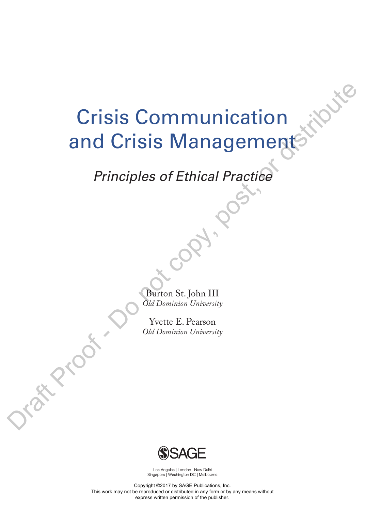# Crisis Communication and Crisis Management Crisis Communication<br>and Crisis Managements<br>Principles of Ethical Practice<br>Control St. John III<br>Cold Deminion St. John III<br>Nette E. Peason<br>Cold Deminion University<br>Cold Deminion University

### *Principles of Ethical Practice*

Burton St. John III *Old Dominion University*

Yvette E. Pearson *Old Dominion University*



Los Angeles | London | New Delhi Singapore | Washington DC | Melbourne

Copyright ©2017 by SAGE Publications, Inc. This work may not be reproduced or distributed in any form or by any means without express written permission of the publisher.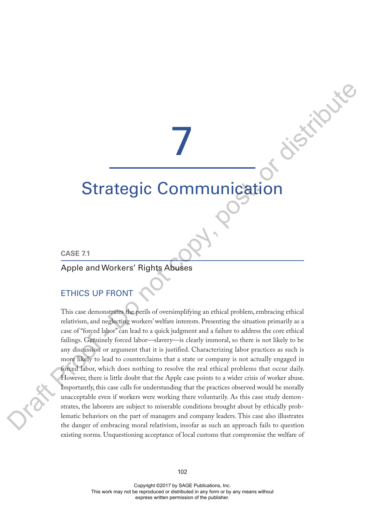# 7

## Strategic Communication

#### **CASE 7.1**

#### Apple and Workers' Rights Abuses

#### ETHICS UP FRONT

This case demonstrates the perils of oversimplifying an ethical problem, embracing ethical relativism, and neglecting workers' welfare interests. Presenting the situation primarily as a case of "forced labor" can lead to a quick judgment and a failure to address the core ethical failings. Genuinely forced labor—slavery—is clearly immoral, so there is not likely to be any discussion or argument that it is justified. Characterizing labor practices as such is more likely to lead to counterclaims that a state or company is not actually engaged in forced labor, which does nothing to resolve the real ethical problems that occur daily. However, there is little doubt that the Apple case points to a wider crisis of worker abuse. Importantly, this case calls for understanding that the practices observed would be morally unacceptable even if workers were working there voluntarily. As this case study demonstrates, the laborers are subject to miserable conditions brought about by ethically problematic behaviors on the part of managers and company leaders. This case also illustrates the danger of embracing moral relativism, insofar as such an approach fails to question existing norms. Unquestioning acceptance of local customs that compromise the welfare of **Strategic Communication**<br>  $\sum_{i=1}^{n} \sum_{j=1}^{n} \sum_{j=1}^{n} \sum_{j=1}^{n} \sum_{j=1}^{n} \sum_{j=1}^{n} \sum_{j=1}^{n} \sum_{j=1}^{n} \sum_{j=1}^{n} \sum_{j=1}^{n} \sum_{j=1}^{n} \sum_{j=1}^{n} \sum_{j=1}^{n} \sum_{j=1}^{n} \sum_{j=1}^{n} \sum_{j=1}^{n} \sum_{j=1}^{n} \sum_{j=1}^{n} \sum_{j=1}^{n} \sum_{$ 

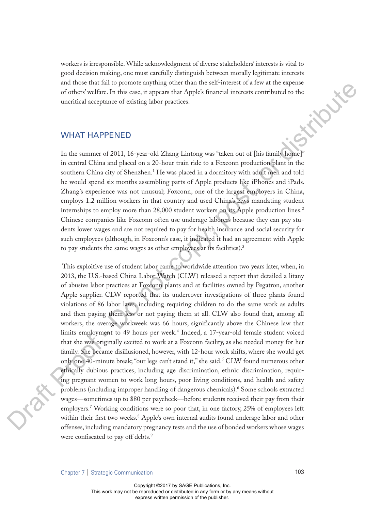workers is irresponsible. While acknowledgment of diverse stakeholders' interests is vital to good decision making, one must carefully distinguish between morally legitimate interests and those that fail to promote anything other than the self-interest of a few at the expense of others' welfare. In this case, it appears that Apple's financial interests contributed to the uncritical acceptance of existin of others' welfare. In this case, it appears that Apple's financial interests contributed to the uncritical acceptance of existing labor practices.

#### WHAT HAPPENED

In the summer of 2011, 16-year-old Zhang Lintong was "taken out of [his family home]" in central China and placed on a 20-hour train ride to a Foxconn production plant in the southern China city of Shenzhen.<sup>1</sup> He was placed in a dormitory with adult men and told he would spend six months assembling parts of Apple products like iPhones and iPads. Zhang's experience was not unusual; Foxconn, one of the largest employers in China, employs 1.2 million workers in that country and used China's laws mandating student internships to employ more than 28,000 student workers on its Apple production lines.<sup>2</sup> Chinese companies like Foxconn often use underage laborers because they can pay students lower wages and are not required to pay for health insurance and social security for such employees (although, in Foxconn's case, it indicated it had an agreement with Apple to pay students the same wages as other employees at its facilities).<sup>3</sup>

 This exploitive use of student labor came to worldwide attention two years later, when, in 2013, the U.S.-based China Labor Watch (CLW) released a report that detailed a litany of abusive labor practices at Foxconn plants and at facilities owned by Pegatron, another Apple supplier. CLW reported that its undercover investigations of three plants found violations of 86 labor laws, including requiring children to do the same work as adults and then paying them less or not paying them at all. CLW also found that, among all workers, the average workweek was 66 hours, significantly above the Chinese law that limits employment to 49 hours per week.4 Indeed, a 17-year-old female student voiced that she was originally excited to work at a Foxconn facility, as she needed money for her family. She became disillusioned, however, with 12-hour work shifts, where she would get only one 40-minute break; "our legs can't stand it," she said.<sup>5</sup> CLW found numerous other ethically dubious practices, including age discrimination, ethnic discrimination, requiring pregnant women to work long hours, poor living conditions, and health and safety problems (including improper handling of dangerous chemicals).<sup>6</sup> Some schools extracted wages—sometimes up to \$80 per paycheck—before students received their pay from their employers.<sup>7</sup> Working conditions were so poor that, in one factory, 25% of employees left within their first two weeks.<sup>8</sup> Apple's own internal audits found underage labor and other offenses, including mandatory pregnancy tests and the use of bonded workers whose wages were confiscated to pay off debts. 9 Ora i and mass train and manual place of the state of a control of the proof of the state of the state of the state of the state of the state of the state of the state of the state of the state of the state of the state of the s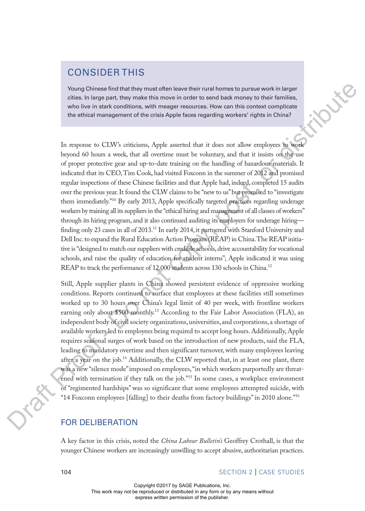#### CONSIDER THIS

Young Chinese find that they must often leave their rural homes to pursue work in larger cities. In large part, they make this move in order to send back money to their families, who live in stark conditions, with meager resources. How can this context complicate the ethical management of the crisis Apple faces regarding workers' rights in China?

In response to CLW's criticisms, Apple asserted that it does not allow employees to work beyond 60 hours a week, that all overtime must be voluntary, and that it insists on the use of proper protective gear and up-to-date training on the handling of hazardous materials. It indicated that its CEO, Tim Cook, had visited Foxconn in the summer of 2012 and promised regular inspections of these Chinese facilities and that Apple had, indeed, completed 15 audits over the previous year. It found the CLW claims to be "new to us" but promised to "investigate them immediately."<sup>10</sup> By early 2013, Apple specifically targeted practices regarding underage workers by training all its suppliers in the "ethical hiring and management of all classes of workers" through its hiring program, and it also continued auditing its employers for underage hiring finding only 23 cases in all of 2013.<sup>11</sup> In early 2014, it partnered with Stanford University and Dell Inc. to expand the Rural Education Action Program (REAP) in China. The REAP initiative is "designed to match our suppliers with credible schools, drive accountability for vocational schools, and raise the quality of education for student interns"; Apple indicated it was using REAP to track the performance of 12,000 students across 130 schools in China.<sup>12</sup> Notice for the main of the three bloods in the layer theorem is the main of the main of the main of the main of the main of the main of the main of the main of the main of the main of the main of the main of the main of t

Still, Apple supplier plants in China showed persistent evidence of oppressive working conditions. Reports continued to surface that employees at these facilities still sometimes worked up to 30 hours over China's legal limit of 40 per week, with frontline workers earning only about \$500 monthly.<sup>13</sup> According to the Fair Labor Association (FLA), an independent body of civil society organizations, universities, and corporations, a shortage of available workers led to employees being required to accept long hours. Additionally, Apple requires seasonal surges of work based on the introduction of new products, said the FLA, leading to mandatory overtime and then significant turnover, with many employees leaving after a year on the job.<sup>14</sup> Additionally, the CLW reported that, in at least one plant, there was a new "silence mode" imposed on employees, "in which workers purportedly are threatened with termination if they talk on the job."<sup>15</sup> In some cases, a workplace environment of "regimented hardships" was so significant that some employees attempted suicide, with "14 Foxconn employees [falling] to their deaths from factory buildings" in 2010 alone."16

#### FOR DELIBERATION

A key factor in this crisis, noted the *China Labour Bulletin's* Geoffrey Crothall, is that the younger Chinese workers are increasingly unwilling to accept abusive, authoritarian practices.

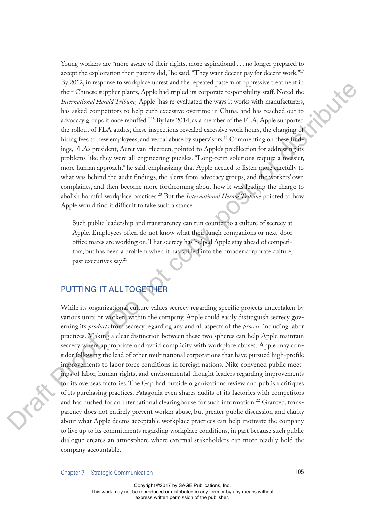Young workers are "more aware of their rights, more aspirational . . . no longer prepared to accept the exploitation their parents did," he said. "They want decent pay for decent work."<sup>17</sup> By 2012, in response to workplace unrest and the repeated pattern of oppressive treatment in their Chinese supplier plants, Apple had tripled its corporate responsibility staff. Noted the *International Herald Tribune,* Apple "has re-evaluated the ways it works with manufacturers, has asked competitors to help curb excessive overtime in China, and has reached out to advocacy groups it once rebuffed."18 By late 2014, as a member of the FLA, Apple supported the rollout of FLA audits; these inspections revealed excessive work hours, the charging of hiring fees to new employees, and verbal abuse by supervisors.<sup>19</sup> Commenting on these findings, FLA's president, Auret van Heerden, pointed to Apple's predilection for addressing its problems like they were all engineering puzzles. "Long-term solutions require a messier, more human approach," he said, emphasizing that Apple needed to listen more carefully to what was behind the audit findings, the alerts from advocacy groups, and the workers' own complaints, and then become more forthcoming about how it was leading the charge to abolish harmful workplace practices.<sup>20</sup> But the *International Herald Tribune* pointed to how Apple would find it difficult to take such a stance: By solitical model was the solitical model was the system of the systems of the systems of the systems of the systems of the systems of the systems of the systems of the systems of the systems of the systems of the system

Such public leadership and transparency can run counter to a culture of secrecy at Apple. Employees often do not know what their lunch companions or next-door office mates are working on. That secrecy has helped Apple stay ahead of competitors, but has been a problem when it has spilled into the broader corporate culture, past executives say.<sup>21</sup>

#### PUTTING IT ALL TOGETHER

While its organizational culture values secrecy regarding specific projects undertaken by various units or workers within the company, Apple could easily distinguish secrecy governing its *products* from secrecy regarding any and all aspects of the *process,* including labor practices. Making a clear distinction between these two spheres can help Apple maintain secrecy where appropriate and avoid complicity with workplace abuses. Apple may consider following the lead of other multinational corporations that have pursued high-profile improvements to labor force conditions in foreign nations. Nike convened public meetings of labor, human rights, and environmental thought leaders regarding improvements for its overseas factories. The Gap had outside organizations review and publish critiques of its purchasing practices. Patagonia even shares audits of its factories with competitors and has pushed for an international clearinghouse for such information.<sup>22</sup> Granted, transparency does not entirely prevent worker abuse, but greater public discussion and clarity about what Apple deems acceptable workplace practices can help motivate the company to live up to its commitments regarding workplace conditions, in part because such public dialogue creates an atmosphere where external stakeholders can more readily hold the company accountable.

Chapter 7 Strategic Communication 105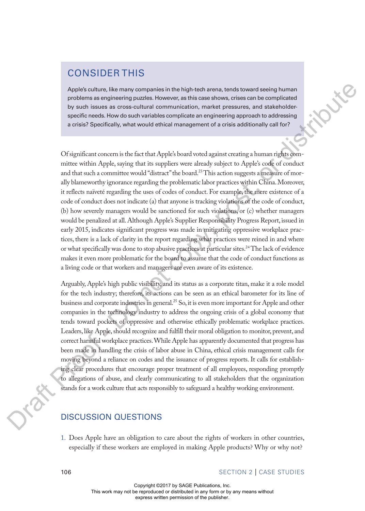#### CONSIDER THIS

Apple's culture, like many companies in the high-tech arena, tends toward seeing human problems as engineering puzzles. However, as this case shows, crises can be complicated by such issues as cross-cultural communication, market pressures, and stakeholderspecific needs. How do such variables complicate an engineering approach to addressing a crisis? Specifically, what would ethical management of a crisis additionally call for?

Of significant concern is the fact that Apple's board voted against creating a human rights committee within Apple, saying that its suppliers were already subject to Apple's code of conduct and that such a committee would "distract" the board.<sup>23</sup> This action suggests a measure of morally blameworthy ignorance regarding the problematic labor practices within China. Moreover, it reflects naïveté regarding the uses of codes of conduct. For example, the mere existence of a code of conduct does not indicate (a) that anyone is tracking violations of the code of conduct, (b) how severely managers would be sanctioned for such violations, or (c) whether managers would be penalized at all. Although Apple's Supplier Responsibility Progress Report, issued in early 2015, indicates significant progress was made in mitigating oppressive workplace practices, there is a lack of clarity in the report regarding what practices were reined in and where or what specifically was done to stop abusive practices at particular sites.<sup>24</sup> The lack of evidence makes it even more problematic for the board to assume that the code of conduct functions as a living code or that workers and managers are even aware of its existence. Applies channels. He many components in the high tech sames, denoted toward since the main the since the symmetric problem is the symmetric properties of the symmetric properties are conserved to the symmetric symmetric p

Arguably, Apple's high public visibility, and its status as a corporate titan, make it a role model for the tech industry; therefore, its actions can be seen as an ethical barometer for its line of business and corporate industries in general.<sup>25</sup> So, it is even more important for Apple and other companies in the technology industry to address the ongoing crisis of a global economy that tends toward pockets of oppressive and otherwise ethically problematic workplace practices. Leaders, like Apple, should recognize and fulfill their moral obligation to monitor, prevent, and correct harmful workplace practices. While Apple has apparently documented that progress has been made in handling the crisis of labor abuse in China, ethical crisis management calls for moving beyond a reliance on codes and the issuance of progress reports. It calls for establishing clear procedures that encourage proper treatment of all employees, responding promptly to allegations of abuse, and clearly communicating to all stakeholders that the organization stands for a work culture that acts responsibly to safeguard a healthy working environment.

#### DISCUSSION QUESTIONS

1. Does Apple have an obligation to care about the rights of workers in other countries, especially if these workers are employed in making Apple products? Why or why not?

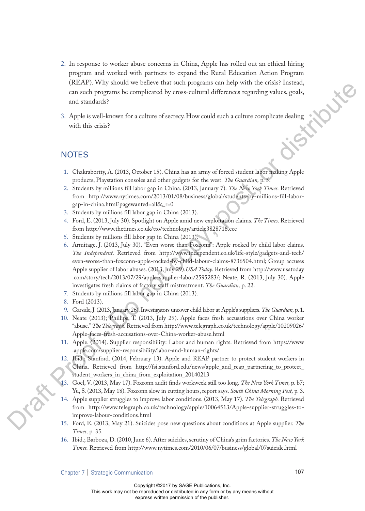- 2. In response to worker abuse concerns in China, Apple has rolled out an ethical hiring program and worked with partners to expand the Rural Education Action Program (REAP). Why should we believe that such programs can help with the crisis? Instead, can such programs be complicated by cross-cultural differences regarding values, goals, and standards?<br>Apple is well-known for a culture o can such programs be complicated by cross-cultural differences regarding values, goals, and standards?
- 3. Apple is well-known for a culture of secrecy. How could such a culture complicate dealing with this crisis?

#### **NOTES**

- 1. Chakrabortty, A. (2013, October 15). China has an army of forced student labor making Apple products, Playstation consoles and other gadgets for the west. *The Guardian,* p. 5.
- 2. Students by millions fill labor gap in China. (2013, January 7). *The New York Times.* Retrieved from http://www.nytimes.com/2013/01/08/business/global/students-by-millions-fill-laborgap-in-china.html?pagewanted=all&\_r=0
- 3. Students by millions fill labor gap in China (2013).
- 4. Ford, E. (2013, July 30). Spotlight on Apple amid new exploitation claims. *The Times.* Retrieved from http://www.thetimes.co.uk/tto/technology/article3828716.ece
- 5. Students by millions fill labor gap in China (2013).
- 6. Armitage, J. (2013, July 30). "Even worse than Foxconn": Apple rocked by child labor claims. *The Independent.* Retrieved from http://www.independent.co.uk/life-style/gadgets-and-tech/ even-worse-than-foxconn-apple-rocked-by-child-labour-claims-8736504.html; Group accuses Apple supplier of labor abuses. (2013, July 29).*USA Today.* Retrieved from http://www.usatoday .com/story/tech/2013/07/29/apple-supplier-labor/2595283/; Neate, R. (2013, July 30). Apple investigates fresh claims of factory staff mistreatment. *The Guardian,* p. 22. Let the Contribute of the control of the same polytonic variant control of the same of the control of the same of the control of the control of the control of the control of the control of the control of the control of th
	- 7. Students by millions fill labor gap in China (2013).
	- 8. Ford (2013).
	- 9. Garside, J. (2013, January 26). Investigators uncover child labor at Apple's suppliers. *The Guardian,* p. 1.
	- 10. Neate (2013); Phillips, T. (2013, July 29). Apple faces fresh accusations over China worker "abuse." *The Telegraph.* Retrieved from http://www.telegraph.co.uk/technology/apple/10209026/ Apple-faces-fresh-accusations-over-China-worker-abuse.html
	- 11. Apple. (2014). Supplier responsibility: Labor and human rights. Retrieved from https://www .apple.com/supplier-responsibility/labor-and-human-rights/
	- 12. Ibid.; Stanford. (2014, February 13). Apple and REAP partner to protect student workers in China. Retrieved from http://fsi.stanford.edu/news/apple\_and\_reap\_partnering\_to\_protect\_ student\_workers\_in\_china\_from\_exploitation\_20140213
	- 13. Goel, V. (2013, May 17). Foxconn audit finds workweek still too long. *The New York Times,* p. b7; Yu, S. (2013, May 18). Foxconn slow in cutting hours, report says. *South China Morning Post,* p. 3.
	- 14. Apple supplier struggles to improve labor conditions. (2013, May 17). *The Telegraph.* Retrieved from http://www.telegraph.co.uk/technology/apple/10064513/Apple-supplier-struggles-toimprove-labour-conditions.html
	- 15. Ford, E. (2013, May 21). Suicides pose new questions about conditions at Apple supplier. *The Times,* p. 35.
	- 16. Ibid.; Barboza, D. (2010, June 6). After suicides, scrutiny of China's grim factories. *The New York Times.* Retrieved from http://www.nytimes.com/2010/06/07/business/global/07suicide.html

Chapter 7 Strategic Communication 107

Copyright ©2017 by SAGE Publications, Inc.